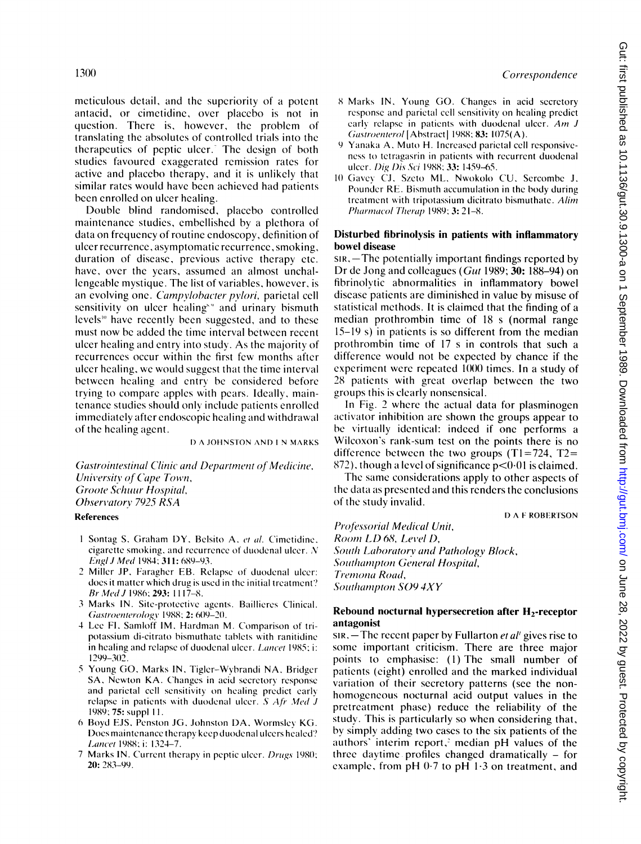meticulous detail, and the superiority of a potent antacid, or cimetidine, over placebo is not in question. There is, however, the problem of translating the absolutes of controlled trials into the therapeutics of peptic ulcer. The design of both studies favoured exaggerated remission rates for active and placebo therapy, and it is unlikely that similar rates would have been achieved had patients been enrolled on ulcer healing.

Double blind randomised, placebo controlled maintenance studies, embellished by a plethora of data on frequency of routine endoscopy, definition of ulcer recurrence, asymptomatic recurrence, smoking, duration of disease, previous active therapy etc. have, over the years, assumed an almost unchallengeable mystique. The list of variables, however, is an evolving one. Campylobacter pylori, parietal cell sensitivity on ulcer healing<sup>s</sup> and urinary bismuth levels"' have recently been suggested, and to these must now be added the time interval between recent ulcer healing and entry into study. As the majority of recurrences occur within the first few months after ulcer healing, we would suggest that the time interval between healing and entry be considered before trying to compare apples with pears. Ideally, maintenance studies should only include patients enrolled immediately after endoscopic healing and withdrawal of the healing agent.

**DA JOHNSTON AND I N MARKS** 

Gastrointestinal Clinic and Department of Medicine, University of Cape Town, Groote Schuur Hospital, Observatory 7925 RSA

#### References

- 1 Sontag S. Graham DY. Belsito A. et al. Cimetidine. cigarctte smoking. and recurrcncc of duodenal ulccr. N Engl J Med 1984; 311: 689-93.
- 2 Miller JP. Faragher EB. Relapse of duodenal ulcer: docs it mattcr which drug is uscd in the initial treatment'? Br Med J 1986; 293: 1117-8.
- 3 Marks IN. Site-protcctivc agents. Bailliercs Clinical. Gastroenterologv 1988; 2: 609-20.
- 4 ILce Fl, Samloff IM. Hardman M. Comparison of tripotassium di-citrato bismuthatc tablets with ranitidine in healing and relapse of duodenal ulccr. Lancet 1985; i: <sup>1</sup> 299-302.
- 5 Young GO, Marks IN, Tigler-Wybrandi NA, Bridger SA, Newton KA. Changes in acid secretory response and parictal ccll sensitivity on healing predict carly relapse in patients with duodenal ulcer.  $S$  Afr Med  $J$ 1989; 75: suppl 11.
- <sup>6</sup> Boyd EJS, Penston JG. Johnston DA. Wormslcy KG. Docs maintenance therapy kccp duodenal ulcers healcd? Lancet 1988; i: 1324-7.
- 7 Marks IN. Current therapy in peptic ulcer. Drugs 1980; 20: 283-99.
- 8 Marks IN, Young GO. Changes in acid secretory response and parietal ccil sensitivity on hcaling predict carly relapse in patients with duodenal ulcer. Am <sup>J</sup> Gastroenterol [Abstract] 1988; 83: 1075(A).
- 9 Yanaka A, Muto H. Increased parietal cell responsivencss to tetragasrin in paticnts with rccurrcnt duodenal ulcer. Dig Dis Sci 1988; 33: 1459-65.
- 10 Gavev CJ. Szeto ML, Nwokolo CU, Sercombe J, Pounder RE. Bismuth accumulation in the body during treatmcnt with tripotassium dicitrato bismuthatc. Alim Pharmacol Therap 1989; 3: 21-8.

## Disturbed fibrinolysis in patients with inflammatory bowel disease

sir,—The potentially important findings reported by Dr de Jong and colleagues (Gut 1989; 30: 188-94) on fibrinolvtic abnormalities in inflammatory bowel disease patients are diminished in value by misuse of statistical methods. It is claimed that the finding of a median prothrombin time of 18 <sup>s</sup> (normal range 15-19 s) in patients is so different from the median prothrombin time of 17 <sup>s</sup> in controls that such a difference would not be expected by chance if the experiment were repeated 1000 times. In a study of 28 patients with great overlap between the two groups this is clearly nonsensical.

In Fig. 2 where the actual data for plasminogen activator inhibition are shown the groups appear to be virtually idenitical: indeed if one performs a Wilcoxon's rank-sum test on the points there is no difference between the two groups  $(T1=724, T2=$ 872), though a level of significance  $p<0.01$  is claimed.

The same considerations apply to other aspects of the data as presenited and this renders the conclusions of the study invalid.

D A <sup>F</sup> ROBERTSON

Professorial Medical Unit, Room LD 68, Level D, South Laboratory and Pathology Block, Southampton General Hospital, Tremona Road, Southampton SO9 4XY

# Rebound nocturnal hypersecretion after  $H_2$ -receptor antagonist

 $SIR$ , - The recent paper by Fullarton *et al'* gives rise to some important criticism. There are three major points to emphasise: (1) The small number of patients (eight) enrolled and the marked individual variation of their secretory patterns (see the nonhomogeneous nocturnal acid output values in the pretreatment phase) reduce the reliability of the study. This is particularly so when considering that, by simply adding two cases to the six patients of the authors' interim report, $\frac{1}{2}$  median pH values of the three daytime profiles changed dramatically  $-$  for example, from  $pH$  0.7 to  $pH$  1.3 on treatment, and